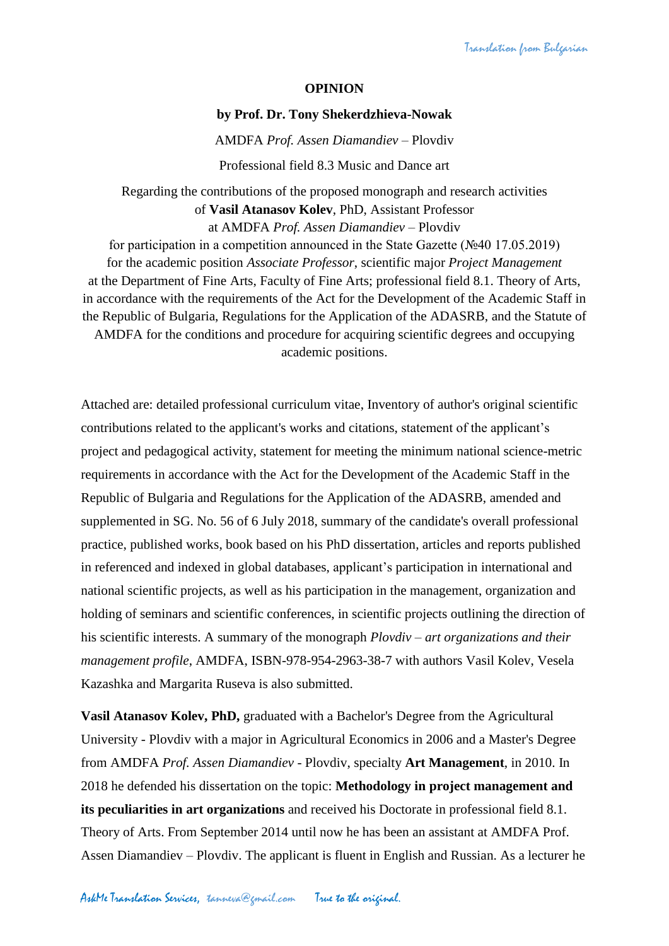## **OPINION**

## **by Prof. Dr. Tony Shekerdzhieva-Nowak**

AMDFA *Prof. Assen Diamandiev* – Plovdiv Professional field 8.3 Music and Dance art

Regarding the contributions of the proposed monograph and research activities of **Vasil Atanasov Kolev**, PhD, Assistant Professor at AMDFA *Prof. Assen Diamandiev* – Plovdiv

for participation in a competition announced in the State Gazette (№40 17.05.2019) for the academic position *Associate Professor*, scientific major *Project Management* at the Department of Fine Arts, Faculty of Fine Arts; professional field 8.1. Theory of Arts, in accordance with the requirements of the Act for the Development of the Academic Staff in the Republic of Bulgaria, Regulations for the Application of the ADASRB, and the Statute of AMDFA for the conditions and procedure for acquiring scientific degrees and occupying academic positions.

Attached are: detailed professional curriculum vitae, Inventory of author's original scientific contributions related to the applicant's works and citations, statement of the applicant's project and pedagogical activity, statement for meeting the minimum national science-metric requirements in accordance with the Act for the Development of the Academic Staff in the Republic of Bulgaria and Regulations for the Application of the ADASRB, amended and supplemented in SG. No. 56 of 6 July 2018, summary of the candidate's overall professional practice, published works, book based on his PhD dissertation, articles and reports published in referenced and indexed in global databases, applicant's participation in international and national scientific projects, as well as his participation in the management, organization and holding of seminars and scientific conferences, in scientific projects outlining the direction of his scientific interests. A summary of the monograph *Plovdiv – art organizations and their management profile*, AMDFA, ISBN-978-954-2963-38-7 with authors Vasil Kolev, Vesela Kazashka and Margarita Ruseva is also submitted.

**Vasil Atanasov Kolev, PhD,** graduated with a Bachelor's Degree from the Agricultural University - Plovdiv with a major in Agricultural Economics in 2006 and a Master's Degree from AMDFA *Prof. Assen Diamandiev* - Plovdiv, specialty **Art Management**, in 2010. In 2018 he defended his dissertation on the topic: **Methodology in project management and its peculiarities in art organizations** and received his Doctorate in professional field 8.1. Theory of Arts. From September 2014 until now he has been an assistant at AMDFA Prof. Assen Diamandiev – Plovdiv. The applicant is fluent in English and Russian. As a lecturer he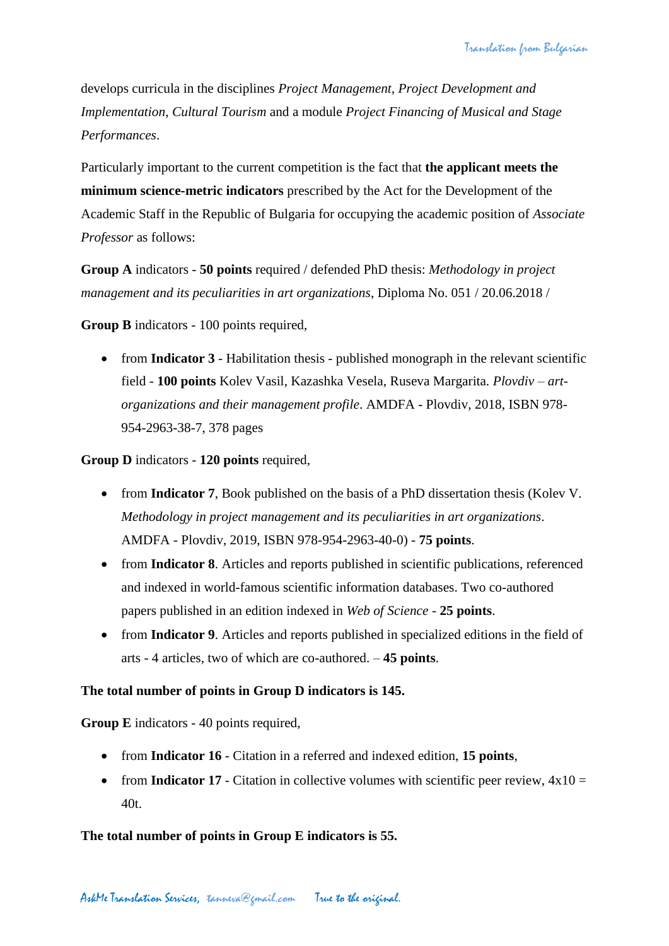develops curricula in the disciplines *Project Management, Project Development and Implementation, Cultural Tourism* and a module *Project Financing of Musical and Stage Performances*.

Particularly important to the current competition is the fact that **the applicant meets the minimum science-metric indicators** prescribed by the Act for the Development of the Academic Staff in the Republic of Bulgaria for occupying the academic position of *Associate Professor* as follows:

**Group A** indicators - **50 points** required / defended PhD thesis: *Methodology in project management and its peculiarities in art organizations*, Diploma No. 051 / 20.06.2018 /

**Group B** indicators - 100 points required,

• from **Indicator 3** - Habilitation thesis - published monograph in the relevant scientific field - **100 points** Kolev Vasil, Kazashka Vesela, Ruseva Margarita*. Plovdiv – artorganizations and their management profile*. AMDFA - Plovdiv, 2018, ISBN 978- 954-2963-38-7, 378 pages

**Group D** indicators - **120 points** required,

- from **Indicator 7**, Book published on the basis of a PhD dissertation thesis (Kolev V. *Methodology in project management and its peculiarities in art organizations*. AMDFA - Plovdiv, 2019, ISBN 978-954-2963-40-0) - **75 points**.
- from **Indicator 8**. Articles and reports published in scientific publications, referenced and indexed in world-famous scientific information databases. Two co-authored papers published in an edition indexed in *Web of Science* - **25 points**.
- from **Indicator 9**. Articles and reports published in specialized editions in the field of arts - 4 articles, two of which are co-authored. – **45 points**.

## **The total number of points in Group D indicators is 145.**

**Group E** indicators - 40 points required,

- from **Indicator 16** Citation in a referred and indexed edition, **15 points**,
- from **Indicator 17** Citation in collective volumes with scientific peer review,  $4x10 =$ 40t.

**The total number of points in Group E indicators is 55.**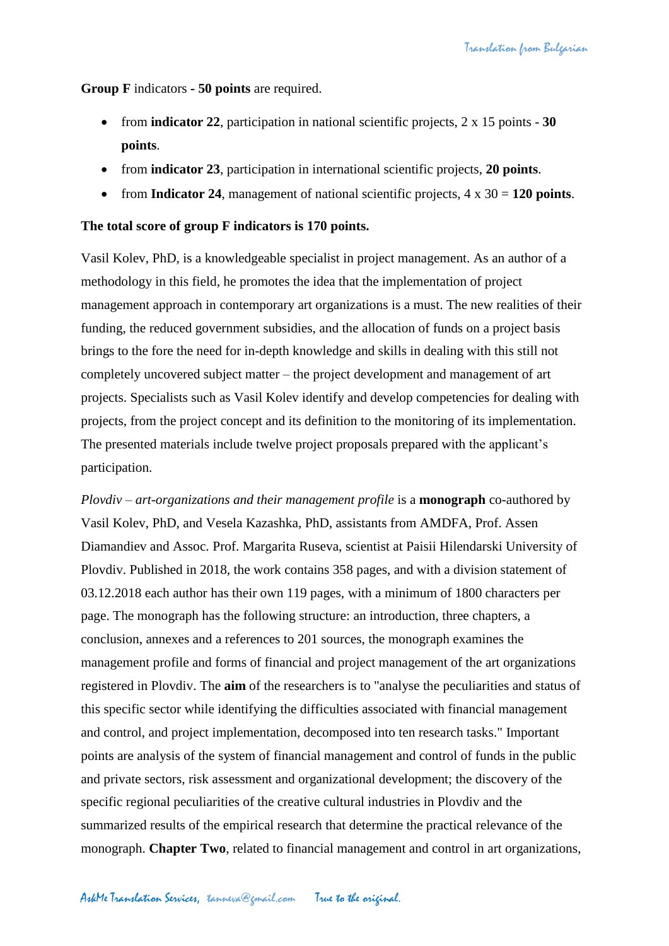**Group F** indicators **- 50 points** are required.

- from **indicator 22**, participation in national scientific projects, 2 x 15 points **30 points**.
- from **indicator 23**, participation in international scientific projects, **20 points**.
- from **Indicator 24**, management of national scientific projects, 4 x 30 = **120 points**.

## **The total score of group F indicators is 170 points.**

Vasil Kolev, PhD, is a knowledgeable specialist in project management. As an author of a methodology in this field, he promotes the idea that the implementation of project management approach in contemporary art organizations is a must. The new realities of their funding, the reduced government subsidies, and the allocation of funds on a project basis brings to the fore the need for in-depth knowledge and skills in dealing with this still not completely uncovered subject matter – the project development and management of art projects. Specialists such as Vasil Kolev identify and develop competencies for dealing with projects, from the project concept and its definition to the monitoring of its implementation. The presented materials include twelve project proposals prepared with the applicant's participation.

*Plovdiv – art-organizations and their management profile* is a **monograph** co-authored by Vasil Kolev, PhD, and Vesela Kazashka, PhD, assistants from AMDFA, Prof. Assen Diamandiev and Assoc. Prof. Margarita Ruseva, scientist at Paisii Hilendarski University of Plovdiv. Published in 2018, the work contains 358 pages, and with a division statement of 03.12.2018 each author has their own 119 pages, with a minimum of 1800 characters per page. The monograph has the following structure: an introduction, three chapters, a conclusion, annexes and a references to 201 sources, the monograph examines the management profile and forms of financial and project management of the art organizations registered in Plovdiv. The **aim** of the researchers is to "analyse the peculiarities and status of this specific sector while identifying the difficulties associated with financial management and control, and project implementation, decomposed into ten research tasks." Important points are analysis of the system of financial management and control of funds in the public and private sectors, risk assessment and organizational development; the discovery of the specific regional peculiarities of the creative cultural industries in Plovdiv and the summarized results of the empirical research that determine the practical relevance of the monograph. **Chapter Two**, related to financial management and control in art organizations,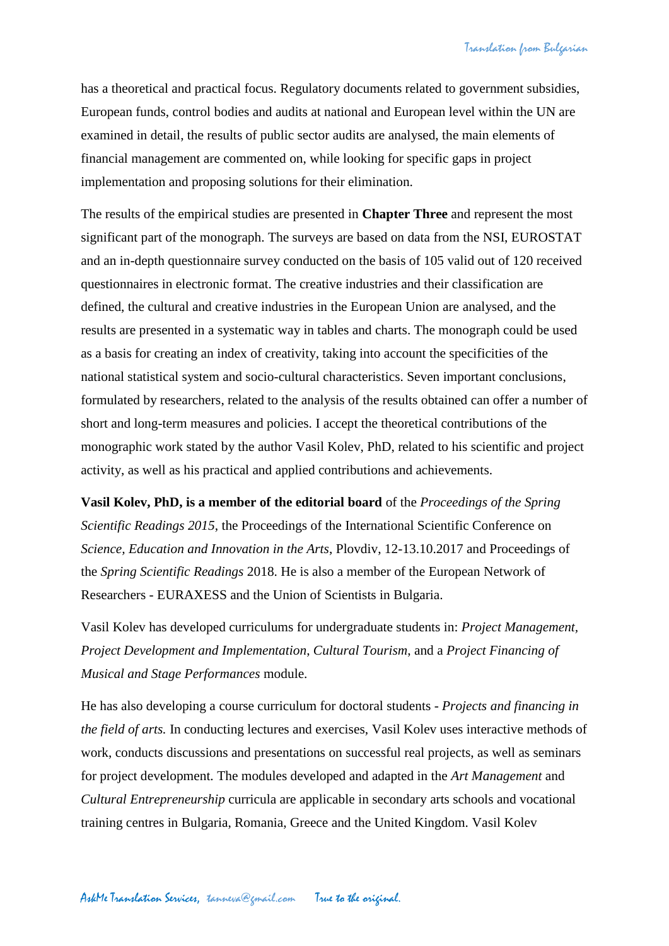has a theoretical and practical focus. Regulatory documents related to government subsidies, European funds, control bodies and audits at national and European level within the UN are examined in detail, the results of public sector audits are analysed, the main elements of financial management are commented on, while looking for specific gaps in project implementation and proposing solutions for their elimination.

The results of the empirical studies are presented in **Chapter Three** and represent the most significant part of the monograph. The surveys are based on data from the NSI, EUROSTAT and an in-depth questionnaire survey conducted on the basis of 105 valid out of 120 received questionnaires in electronic format. The creative industries and their classification are defined, the cultural and creative industries in the European Union are analysed, and the results are presented in a systematic way in tables and charts. The monograph could be used as a basis for creating an index of creativity, taking into account the specificities of the national statistical system and socio-cultural characteristics. Seven important conclusions, formulated by researchers, related to the analysis of the results obtained can offer a number of short and long-term measures and policies. I accept the theoretical contributions of the monographic work stated by the author Vasil Kolev, PhD, related to his scientific and project activity, as well as his practical and applied contributions and achievements.

**Vasil Kolev, PhD, is a member of the editorial board** of the *Proceedings of the Spring Scientific Readings 2015*, the Proceedings of the International Scientific Conference on *Science, Education and Innovation in the Arts*, Plovdiv, 12-13.10.2017 and Proceedings of the *Spring Scientific Readings* 2018. He is also a member of the European Network of Researchers - EURAXESS and the Union of Scientists in Bulgaria.

Vasil Kolev has developed curriculums for undergraduate students in: *Project Management, Project Development and Implementation*, *Cultural Tourism*, and a *Project Financing of Musical and Stage Performances* module.

He has also developing a course curriculum for doctoral students - *Projects and financing in the field of arts.* In conducting lectures and exercises, Vasil Kolev uses interactive methods of work, conducts discussions and presentations on successful real projects, as well as seminars for project development. The modules developed and adapted in the *Art Management* and *Cultural Entrepreneurship* curricula are applicable in secondary arts schools and vocational training centres in Bulgaria, Romania, Greece and the United Kingdom. Vasil Kolev